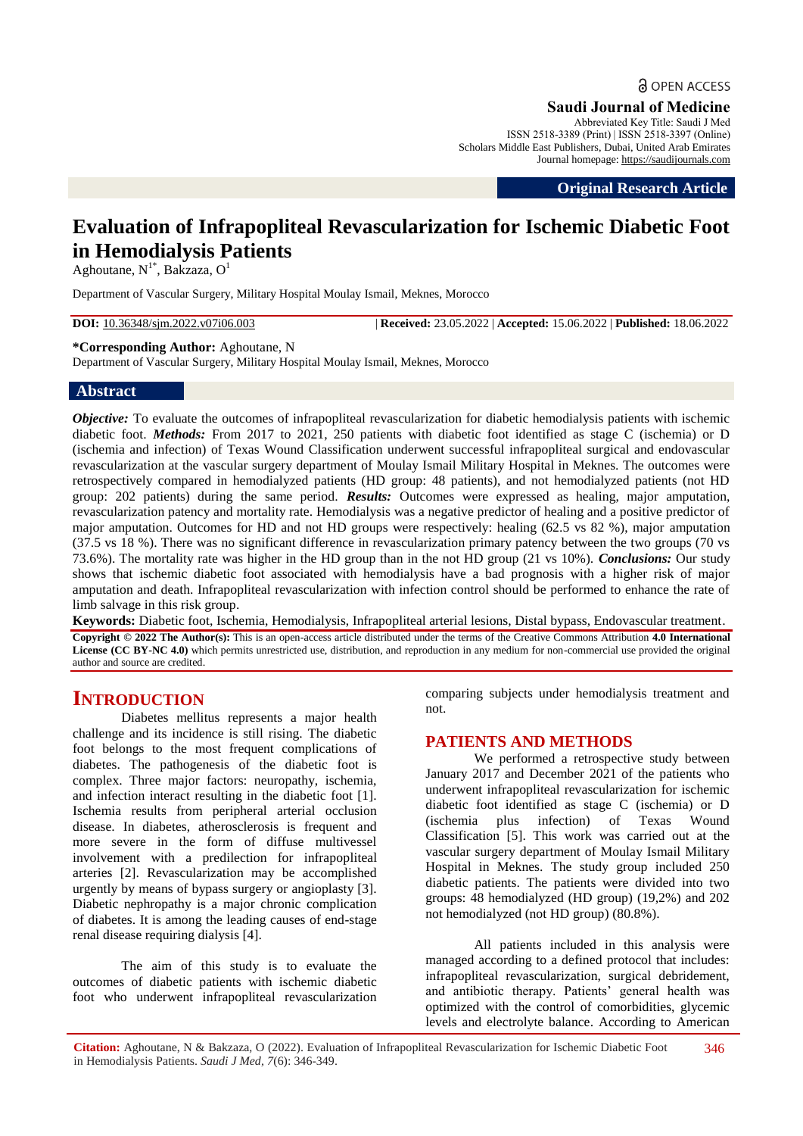**a** OPEN ACCESS

**Saudi Journal of Medicine**

Abbreviated Key Title: Saudi J Med ISSN 2518-3389 (Print) | ISSN 2518-3397 (Online) Scholars Middle East Publishers, Dubai, United Arab Emirates Journal homepage: https://saudijournals.com

**Original Research Article**

# **Evaluation of Infrapopliteal Revascularization for Ischemic Diabetic Foot in Hemodialysis Patients**

Aghoutane,  $N^{1*}$ , Bakzaza, O<sup>1</sup>

Department of Vascular Surgery, Military Hospital Moulay Ismail, Meknes, Morocco

**DOI:** 10.36348/sjm.2022.v07i06.003 | **Received:** 23.05.2022 | **Accepted:** 15.06.2022 | **Published:** 18.06.2022

#### **\*Corresponding Author:** Aghoutane, N

Department of Vascular Surgery, Military Hospital Moulay Ismail, Meknes, Morocco

### **Abstract**

*Objective:* To evaluate the outcomes of infrapopliteal revascularization for diabetic hemodialysis patients with ischemic diabetic foot. *Methods:* From 2017 to 2021, 250 patients with diabetic foot identified as stage C (ischemia) or D (ischemia and infection) of Texas Wound Classification underwent successful infrapopliteal surgical and endovascular revascularization at the vascular surgery department of Moulay Ismail Military Hospital in Meknes. The outcomes were retrospectively compared in hemodialyzed patients (HD group: 48 patients), and not hemodialyzed patients (not HD group: 202 patients) during the same period. *Results:* Outcomes were expressed as healing, major amputation, revascularization patency and mortality rate. Hemodialysis was a negative predictor of healing and a positive predictor of major amputation. Outcomes for HD and not HD groups were respectively: healing (62.5 vs 82 %), major amputation (37.5 vs 18 %). There was no significant difference in revascularization primary patency between the two groups (70 vs 73.6%). The mortality rate was higher in the HD group than in the not HD group (21 vs 10%). *Conclusions:* Our study shows that ischemic diabetic foot associated with hemodialysis have a bad prognosis with a higher risk of major amputation and death. Infrapopliteal revascularization with infection control should be performed to enhance the rate of limb salvage in this risk group.

**Keywords:** Diabetic foot, Ischemia, Hemodialysis, Infrapopliteal arterial lesions, Distal bypass, Endovascular treatment.

**Copyright © 2022 The Author(s):** This is an open-access article distributed under the terms of the Creative Commons Attribution **4.0 International License (CC BY-NC 4.0)** which permits unrestricted use, distribution, and reproduction in any medium for non-commercial use provided the original author and source are credited.

## **INTRODUCTION**

Diabetes mellitus represents a major health challenge and its incidence is still rising. The diabetic foot belongs to the most frequent complications of diabetes. The pathogenesis of the diabetic foot is complex. Three major factors: neuropathy, ischemia, and infection interact resulting in the diabetic foot [1]. Ischemia results from peripheral arterial occlusion disease. In diabetes, atherosclerosis is frequent and more severe in the form of diffuse multivessel involvement with a predilection for infrapopliteal arteries [2]. Revascularization may be accomplished urgently by means of bypass surgery or angioplasty [3]. Diabetic nephropathy is a major chronic complication of diabetes. It is among the leading causes of end-stage renal disease requiring dialysis [4].

The aim of this study is to evaluate the outcomes of diabetic patients with ischemic diabetic foot who underwent infrapopliteal revascularization comparing subjects under hemodialysis treatment and not.

## **PATIENTS AND METHODS**

We performed a retrospective study between January 2017 and December 2021 of the patients who underwent infrapopliteal revascularization for ischemic diabetic foot identified as stage C (ischemia) or D (ischemia plus infection) of Texas Wound Classification [5]. This work was carried out at the vascular surgery department of Moulay Ismail Military Hospital in Meknes. The study group included 250 diabetic patients. The patients were divided into two groups: 48 hemodialyzed (HD group) (19,2%) and 202 not hemodialyzed (not HD group) (80.8%).

All patients included in this analysis were managed according to a defined protocol that includes: infrapopliteal revascularization, surgical debridement, and antibiotic therapy. Patients' general health was optimized with the control of comorbidities, glycemic levels and electrolyte balance. According to American

**Citation:** Aghoutane, N & Bakzaza, O (2022). Evaluation of Infrapopliteal Revascularization for Ischemic Diabetic Foot in Hemodialysis Patients. *Saudi J Med, 7*(6): 346-349. 346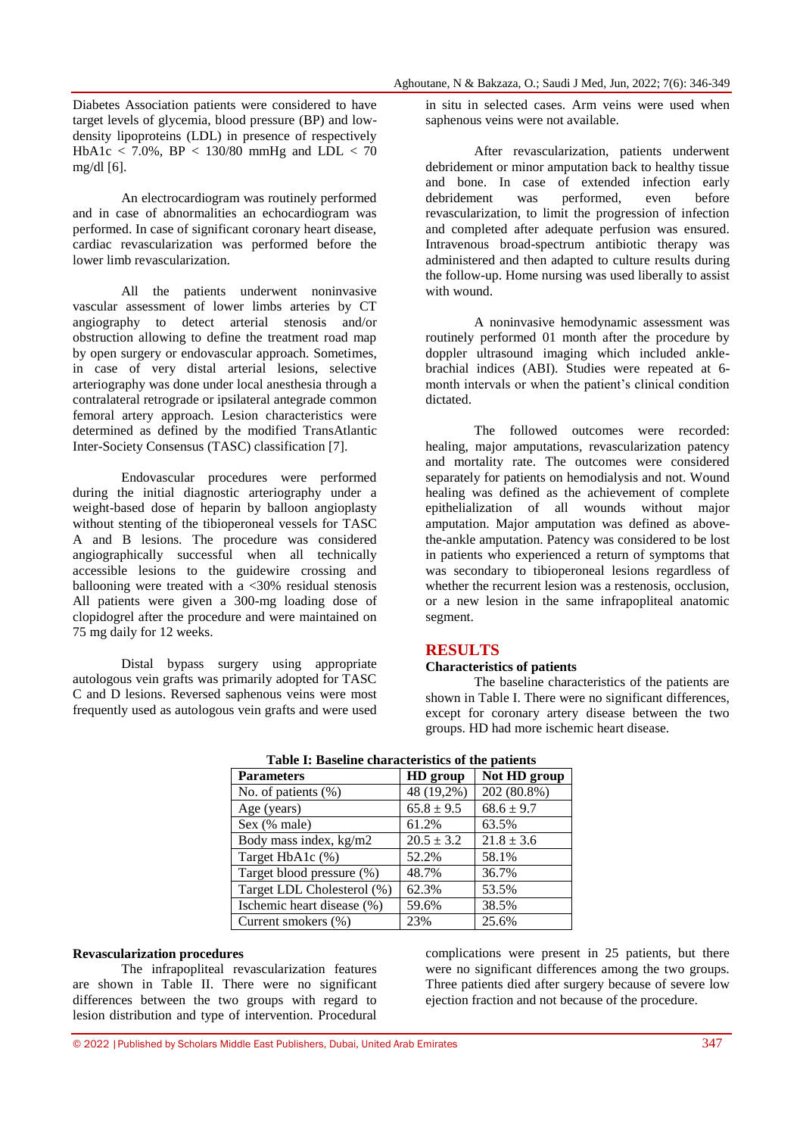Diabetes Association patients were considered to have target levels of glycemia, blood pressure (BP) and lowdensity lipoproteins (LDL) in presence of respectively HbA1c < 7.0%, BP < 130/80 mmHg and LDL < 70 mg/dl [6].

An electrocardiogram was routinely performed and in case of abnormalities an echocardiogram was performed. In case of significant coronary heart disease, cardiac revascularization was performed before the lower limb revascularization.

All the patients underwent noninvasive vascular assessment of lower limbs arteries by CT angiography to detect arterial stenosis and/or obstruction allowing to define the treatment road map by open surgery or endovascular approach. Sometimes, in case of very distal arterial lesions, selective arteriography was done under local anesthesia through a contralateral retrograde or ipsilateral antegrade common femoral artery approach. Lesion characteristics were determined as defined by the modified TransAtlantic Inter-Society Consensus (TASC) classification [7].

Endovascular procedures were performed during the initial diagnostic arteriography under a weight-based dose of heparin by balloon angioplasty without stenting of the tibioperoneal vessels for TASC A and B lesions. The procedure was considered angiographically successful when all technically accessible lesions to the guidewire crossing and ballooning were treated with a  $\langle 30\%$  residual stenosis All patients were given a 300-mg loading dose of clopidogrel after the procedure and were maintained on 75 mg daily for 12 weeks.

Distal bypass surgery using appropriate autologous vein grafts was primarily adopted for TASC C and D lesions. Reversed saphenous veins were most frequently used as autologous vein grafts and were used

in situ in selected cases. Arm veins were used when saphenous veins were not available.

After revascularization, patients underwent debridement or minor amputation back to healthy tissue and bone. In case of extended infection early debridement was performed, even before revascularization, to limit the progression of infection and completed after adequate perfusion was ensured. Intravenous broad-spectrum antibiotic therapy was administered and then adapted to culture results during the follow-up. Home nursing was used liberally to assist with wound.

A noninvasive hemodynamic assessment was routinely performed 01 month after the procedure by doppler ultrasound imaging which included anklebrachial indices (ABI). Studies were repeated at 6 month intervals or when the patient's clinical condition dictated.

The followed outcomes were recorded: healing, major amputations, revascularization patency and mortality rate. The outcomes were considered separately for patients on hemodialysis and not. Wound healing was defined as the achievement of complete epithelialization of all wounds without major amputation. Major amputation was defined as abovethe-ankle amputation. Patency was considered to be lost in patients who experienced a return of symptoms that was secondary to tibioperoneal lesions regardless of whether the recurrent lesion was a restenosis, occlusion, or a new lesion in the same infrapopliteal anatomic segment.

#### **RESULTS**

#### **Characteristics of patients**

The baseline characteristics of the patients are shown in Table I. There were no significant differences, except for coronary artery disease between the two groups. HD had more ischemic heart disease.

| <b>Parameters</b>          | HD group       | Not HD group   |  |
|----------------------------|----------------|----------------|--|
| No. of patients (%)        | 48 (19,2%)     | 202 (80.8%)    |  |
| Age (years)                | $65.8 \pm 9.5$ | $68.6 \pm 9.7$ |  |
| Sex (% male)               | 61.2%          | 63.5%          |  |
| Body mass index, kg/m2     | $20.5 \pm 3.2$ | $21.8 \pm 3.6$ |  |
| Target HbA1c (%)           | 52.2%          | 58.1%          |  |
| Target blood pressure (%)  | 48.7%          | 36.7%          |  |
| Target LDL Cholesterol (%) | 62.3%          | 53.5%          |  |
| Ischemic heart disease (%) | 59.6%          | 38.5%          |  |
| Current smokers (%)        | 23%            | 25.6%          |  |

**Table I: Baseline characteristics of the patients**

#### **Revascularization procedures**

The infrapopliteal revascularization features are shown in Table II. There were no significant differences between the two groups with regard to lesion distribution and type of intervention. Procedural complications were present in 25 patients, but there were no significant differences among the two groups. Three patients died after surgery because of severe low ejection fraction and not because of the procedure.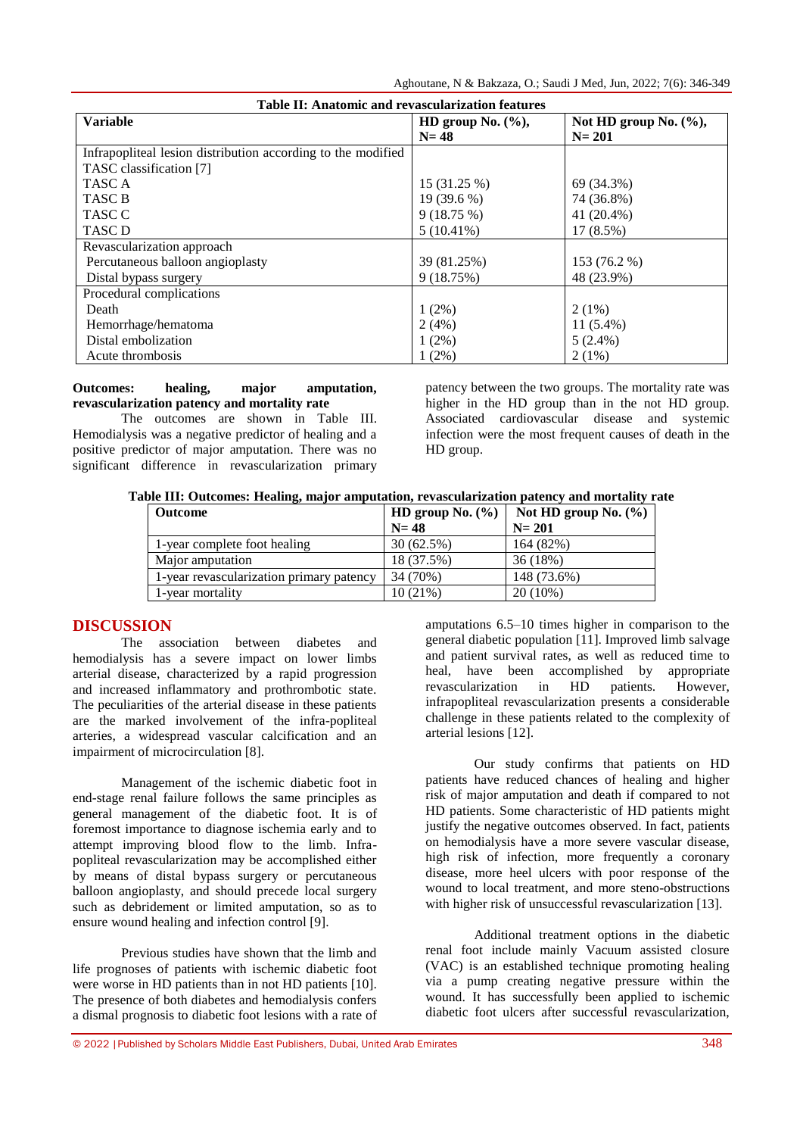Aghoutane, N & Bakzaza, O*.*; Saudi J Med, Jun, 2022; 7(6): 346-349

| Table II: Anatomic and revascularization features            |                      |                          |  |
|--------------------------------------------------------------|----------------------|--------------------------|--|
| <b>Variable</b>                                              | HD group No. $(\%),$ | Not HD group No. $(\%),$ |  |
|                                                              | $N=48$               | $N = 201$                |  |
| Infrapopliteal lesion distribution according to the modified |                      |                          |  |
| TASC classification [7]                                      |                      |                          |  |
| TASC A                                                       | 15 (31.25 %)         | 69 (34.3%)               |  |
| TASC B                                                       | 19 (39.6 %)          | 74 (36.8%)               |  |
| TASC C                                                       | 9(18.75%)            | 41 (20.4%)               |  |
| <b>TASC D</b>                                                | $5(10.41\%)$         | 17 (8.5%)                |  |
| Revascularization approach                                   |                      |                          |  |
| Percutaneous balloon angioplasty                             | 39 (81.25%)          | 153 (76.2 %)             |  |
| Distal bypass surgery                                        | 9(18.75%)            | 48 (23.9%)               |  |
| Procedural complications                                     |                      |                          |  |
| Death                                                        | $1(2\%)$             | $2(1\%)$                 |  |
| Hemorrhage/hematoma                                          | 2(4%)                | $11(5.4\%)$              |  |
| Distal embolization                                          | $1(2\%)$             | $5(2.4\%)$               |  |
| Acute thrombosis                                             | $1(2\%)$             | $2(1\%)$                 |  |

#### **Outcomes: healing, major amputation, revascularization patency and mortality rate**

The outcomes are shown in Table III. Hemodialysis was a negative predictor of healing and a positive predictor of major amputation. There was no significant difference in revascularization primary

patency between the two groups. The mortality rate was higher in the HD group than in the not HD group. Associated cardiovascular disease and systemic infection were the most frequent causes of death in the HD group.

**Table III: Outcomes: Healing, major amputation, revascularization patency and mortality rate**

| <b>Outcome</b>                           | HD group No. $(\% )$ | Not HD group No. $(\% )$ |
|------------------------------------------|----------------------|--------------------------|
|                                          | $N=48$               | $N = 201$                |
| 1-year complete foot healing             | 30(62.5%)            | 164 (82%)                |
| Major amputation                         | 18 (37.5%)           | 36(18%)                  |
| 1-year revascularization primary patency | 34 (70%)             | 148 (73.6%)              |
| 1-year mortality                         | $10(21\%)$           | $20(10\%)$               |

## **DISCUSSION**

The association between diabetes and hemodialysis has a severe impact on lower limbs arterial disease, characterized by a rapid progression and increased inflammatory and prothrombotic state. The peculiarities of the arterial disease in these patients are the marked involvement of the infra-popliteal arteries, a widespread vascular calcification and an impairment of microcirculation [8].

Management of the ischemic diabetic foot in end-stage renal failure follows the same principles as general management of the diabetic foot. It is of foremost importance to diagnose ischemia early and to attempt improving blood flow to the limb. Infrapopliteal revascularization may be accomplished either by means of distal bypass surgery or percutaneous balloon angioplasty, and should precede local surgery such as debridement or limited amputation, so as to ensure wound healing and infection control [9].

Previous studies have shown that the limb and life prognoses of patients with ischemic diabetic foot were worse in HD patients than in not HD patients [10]. The presence of both diabetes and hemodialysis confers a dismal prognosis to diabetic foot lesions with a rate of

amputations 6.5–10 times higher in comparison to the general diabetic population [11]. Improved limb salvage and patient survival rates, as well as reduced time to heal, have been accomplished by appropriate revascularization in HD patients. However, infrapopliteal revascularization presents a considerable challenge in these patients related to the complexity of arterial lesions [12].

Our study confirms that patients on HD patients have reduced chances of healing and higher risk of major amputation and death if compared to not HD patients. Some characteristic of HD patients might justify the negative outcomes observed. In fact, patients on hemodialysis have a more severe vascular disease, high risk of infection, more frequently a coronary disease, more heel ulcers with poor response of the wound to local treatment, and more steno-obstructions with higher risk of unsuccessful revascularization [13].

Additional treatment options in the diabetic renal foot include mainly Vacuum assisted closure (VAC) is an established technique promoting healing via a pump creating negative pressure within the wound. It has successfully been applied to ischemic diabetic foot ulcers after successful revascularization,